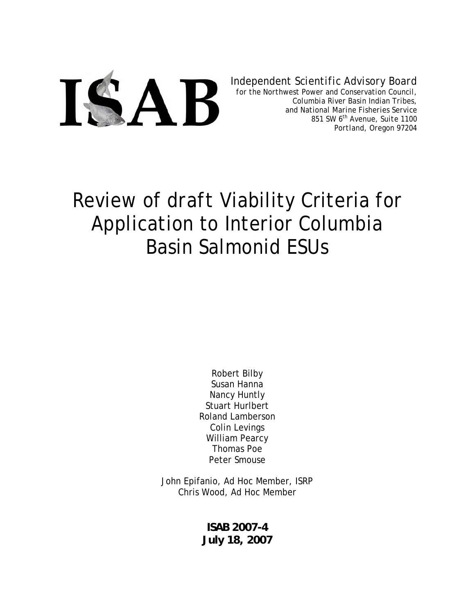

*Independent Scientific Advisory Board* 

*for the Northwest Power and Conservation Council, Columbia River Basin Indian Tribes, and National Marine Fisheries Service 851 SW 6th Avenue, Suite 1100 Portland, Oregon 97204* 

# Review of *draft* Viability Criteria for Application to Interior Columbia Basin Salmonid ESUs

Robert Bilby Susan Hanna Nancy Huntly Stuart Hurlbert Roland Lamberson Colin Levings William Pearcy Thomas Poe Peter Smouse

John Epifanio, Ad Hoc Member, ISRP Chris Wood, Ad Hoc Member

> **ISAB 2007-4 July 18, 2007**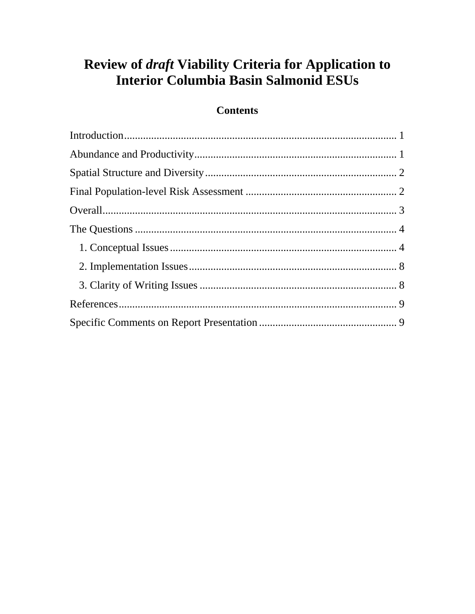# Review of *draft* Viability Criteria for Application to **Interior Columbia Basin Salmonid ESUs**

### **Contents**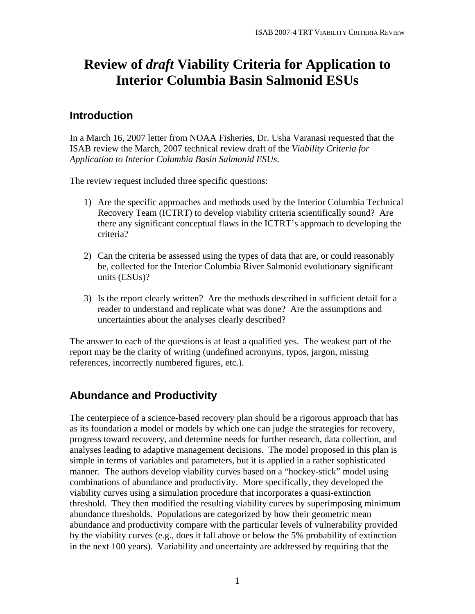# <span id="page-2-0"></span>**Review of** *draft* **Viability Criteria for Application to Interior Columbia Basin Salmonid ESUs**

#### **Introduction**

In a March 16, 2007 letter from NOAA Fisheries, Dr. Usha Varanasi requested that the ISAB review the March, 2007 technical review draft of the *Viability Criteria for Application to Interior Columbia Basin Salmonid ESUs*.

The review request included three specific questions:

- 1) Are the specific approaches and methods used by the Interior Columbia Technical Recovery Team (ICTRT) to develop viability criteria scientifically sound? Are there any significant conceptual flaws in the ICTRT's approach to developing the criteria?
- 2) Can the criteria be assessed using the types of data that are, or could reasonably be, collected for the Interior Columbia River Salmonid evolutionary significant units (ESUs)?
- 3) Is the report clearly written? Are the methods described in sufficient detail for a reader to understand and replicate what was done? Are the assumptions and uncertainties about the analyses clearly described?

The answer to each of the questions is at least a qualified yes. The weakest part of the report may be the clarity of writing (undefined acronyms, typos, jargon, missing references, incorrectly numbered figures, etc.).

# **Abundance and Productivity**

The centerpiece of a science-based recovery plan should be a rigorous approach that has as its foundation a model or models by which one can judge the strategies for recovery, progress toward recovery, and determine needs for further research, data collection, and analyses leading to adaptive management decisions. The model proposed in this plan is simple in terms of variables and parameters, but it is applied in a rather sophisticated manner. The authors develop viability curves based on a "hockey-stick" model using combinations of abundance and productivity. More specifically, they developed the viability curves using a simulation procedure that incorporates a quasi-extinction threshold. They then modified the resulting viability curves by superimposing minimum abundance thresholds. Populations are categorized by how their geometric mean abundance and productivity compare with the particular levels of vulnerability provided by the viability curves (e.g., does it fall above or below the 5% probability of extinction in the next 100 years). Variability and uncertainty are addressed by requiring that the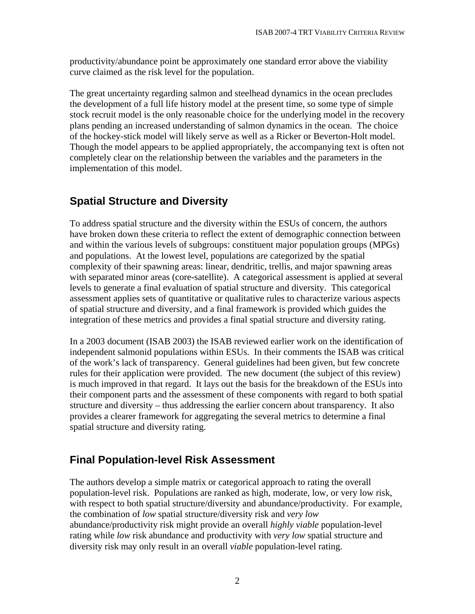<span id="page-3-0"></span>productivity/abundance point be approximately one standard error above the viability curve claimed as the risk level for the population.

The great uncertainty regarding salmon and steelhead dynamics in the ocean precludes the development of a full life history model at the present time, so some type of simple stock recruit model is the only reasonable choice for the underlying model in the recovery plans pending an increased understanding of salmon dynamics in the ocean. The choice of the hockey-stick model will likely serve as well as a Ricker or Beverton-Holt model. Though the model appears to be applied appropriately, the accompanying text is often not completely clear on the relationship between the variables and the parameters in the implementation of this model.

## **Spatial Structure and Diversity**

To address spatial structure and the diversity within the ESUs of concern, the authors have broken down these criteria to reflect the extent of demographic connection between and within the various levels of subgroups: constituent major population groups (MPGs) and populations. At the lowest level, populations are categorized by the spatial complexity of their spawning areas: linear, dendritic, trellis, and major spawning areas with separated minor areas (core-satellite). A categorical assessment is applied at several levels to generate a final evaluation of spatial structure and diversity. This categorical assessment applies sets of quantitative or qualitative rules to characterize various aspects of spatial structure and diversity, and a final framework is provided which guides the integration of these metrics and provides a final spatial structure and diversity rating.

In a 2003 document (ISAB 2003) the ISAB reviewed earlier work on the identification of independent salmonid populations within ESUs. In their comments the ISAB was critical of the work's lack of transparency. General guidelines had been given, but few concrete rules for their application were provided. The new document (the subject of this review) is much improved in that regard. It lays out the basis for the breakdown of the ESUs into their component parts and the assessment of these components with regard to both spatial structure and diversity – thus addressing the earlier concern about transparency. It also provides a clearer framework for aggregating the several metrics to determine a final spatial structure and diversity rating.

#### **Final Population-level Risk Assessment**

The authors develop a simple matrix or categorical approach to rating the overall population-level risk. Populations are ranked as high, moderate, low, or very low risk, with respect to both spatial structure/diversity and abundance/productivity. For example, the combination of *low* spatial structure/diversity risk and *very low* abundance/productivity risk might provide an overall *highly viable* population-level rating while *low* risk abundance and productivity with *very low* spatial structure and diversity risk may only result in an overall *viable* population-level rating.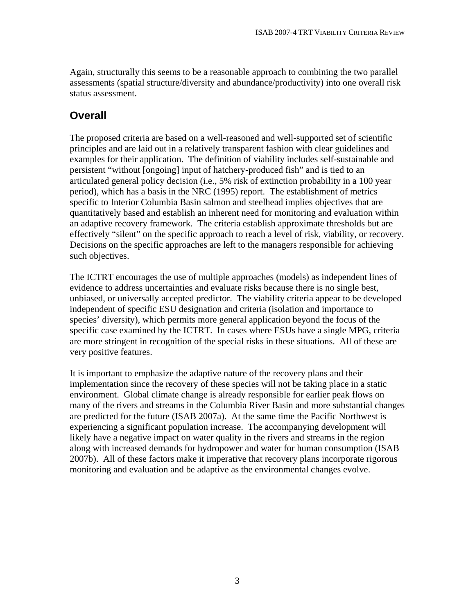<span id="page-4-0"></span>Again, structurally this seems to be a reasonable approach to combining the two parallel assessments (spatial structure/diversity and abundance/productivity) into one overall risk status assessment.

#### **Overall**

The proposed criteria are based on a well-reasoned and well-supported set of scientific principles and are laid out in a relatively transparent fashion with clear guidelines and examples for their application. The definition of viability includes self-sustainable and persistent "without [ongoing] input of hatchery-produced fish" and is tied to an articulated general policy decision (i.e., 5% risk of extinction probability in a 100 year period), which has a basis in the NRC (1995) report. The establishment of metrics specific to Interior Columbia Basin salmon and steelhead implies objectives that are quantitatively based and establish an inherent need for monitoring and evaluation within an adaptive recovery framework. The criteria establish approximate thresholds but are effectively "silent" on the specific approach to reach a level of risk, viability, or recovery. Decisions on the specific approaches are left to the managers responsible for achieving such objectives.

The ICTRT encourages the use of multiple approaches (models) as independent lines of evidence to address uncertainties and evaluate risks because there is no single best, unbiased, or universally accepted predictor. The viability criteria appear to be developed independent of specific ESU designation and criteria (isolation and importance to species' diversity), which permits more general application beyond the focus of the specific case examined by the ICTRT. In cases where ESUs have a single MPG, criteria are more stringent in recognition of the special risks in these situations. All of these are very positive features.

It is important to emphasize the adaptive nature of the recovery plans and their implementation since the recovery of these species will not be taking place in a static environment. Global climate change is already responsible for earlier peak flows on many of the rivers and streams in the Columbia River Basin and more substantial changes are predicted for the future (ISAB 2007a). At the same time the Pacific Northwest is experiencing a significant population increase. The accompanying development will likely have a negative impact on water quality in the rivers and streams in the region along with increased demands for hydropower and water for human consumption (ISAB 2007b). All of these factors make it imperative that recovery plans incorporate rigorous monitoring and evaluation and be adaptive as the environmental changes evolve.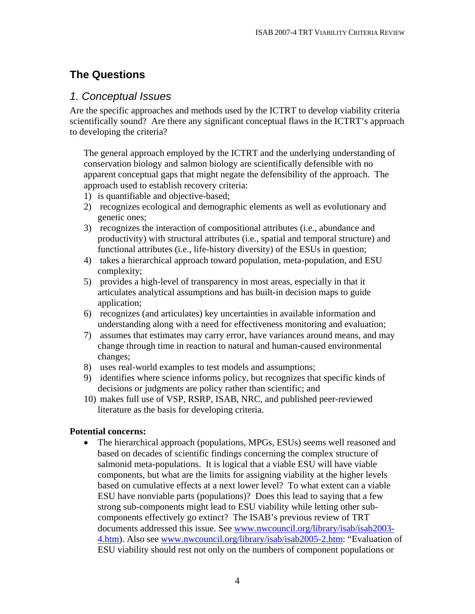### <span id="page-5-0"></span>**The Questions**

#### *1. Conceptual Issues*

Are the specific approaches and methods used by the ICTRT to develop viability criteria scientifically sound? Are there any significant conceptual flaws in the ICTRT's approach to developing the criteria?

The general approach employed by the ICTRT and the underlying understanding of conservation biology and salmon biology are scientifically defensible with no apparent conceptual gaps that might negate the defensibility of the approach. The approach used to establish recovery criteria:

- 1) is quantifiable and objective-based;
- 2) recognizes ecological and demographic elements as well as evolutionary and genetic ones;
- 3) recognizes the interaction of compositional attributes (i.e., abundance and productivity) with structural attributes (i.e., spatial and temporal structure) and functional attributes (i.e., life-history diversity) of the ESUs in question;
- 4) takes a hierarchical approach toward population, meta-population, and ESU complexity;
- 5) provides a high-level of transparency in most areas, especially in that it articulates analytical assumptions and has built-in decision maps to guide application;
- 6) recognizes (and articulates) key uncertainties in available information and understanding along with a need for effectiveness monitoring and evaluation;
- 7) assumes that estimates may carry error, have variances around means, and may change through time in reaction to natural and human-caused environmental changes;
- 8) uses real-world examples to test models and assumptions;
- 9) identifies where science informs policy, but recognizes that specific kinds of decisions or judgments are policy rather than scientific; and
- 10) makes full use of VSP, RSRP, ISAB, NRC, and published peer-reviewed literature as the basis for developing criteria.

#### **Potential concerns:**

• The hierarchical approach (populations, MPGs, ESUs) seems well reasoned and based on decades of scientific findings concerning the complex structure of salmonid meta-populations. It is logical that a viable ESU will have viable components, but what are the limits for assigning viability at the higher levels based on cumulative effects at a next lower level? To what extent can a viable ESU have nonviable parts (populations)? Does this lead to saying that a few strong sub-components might lead to ESU viability while letting other subcomponents effectively go extinct? The ISAB's previous review of TRT documents addressed this issue. See [www.nwcouncil.org/library/isab/isab2003-](http://www.nwcouncil.org/library/isab/isab2003-4.htm) [4.htm\)](http://www.nwcouncil.org/library/isab/isab2003-4.htm). Also see [www.nwcouncil.org/library/isab/isab2005-2.htm:](http://www.nwcouncil.org/library/isab/isab2005-2.htm) "Evaluation of ESU viability should rest not only on the numbers of component populations or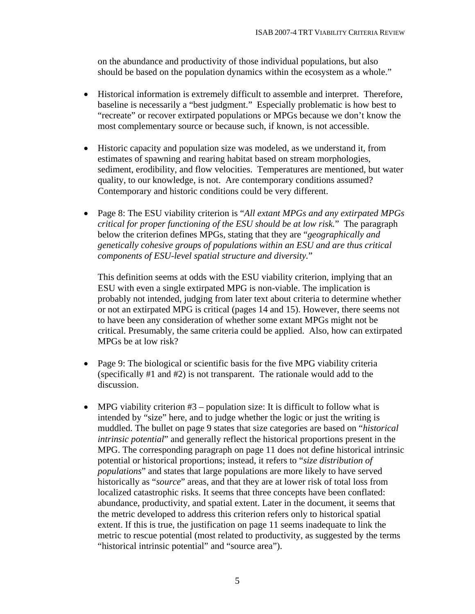on the abundance and productivity of those individual populations, but also should be based on the population dynamics within the ecosystem as a whole."

- Historical information is extremely difficult to assemble and interpret. Therefore, baseline is necessarily a "best judgment." Especially problematic is how best to "recreate" or recover extirpated populations or MPGs because we don't know the most complementary source or because such, if known, is not accessible.
- Historic capacity and population size was modeled, as we understand it, from estimates of spawning and rearing habitat based on stream morphologies, sediment, erodibility, and flow velocities. Temperatures are mentioned, but water quality, to our knowledge, is not. Are contemporary conditions assumed? Contemporary and historic conditions could be very different.
- Page 8: The ESU viability criterion is "*All extant MPGs and any extirpated MPGs critical for proper functioning of the ESU should be at low risk.*" The paragraph below the criterion defines MPGs, stating that they are "*geographically and genetically cohesive groups of populations within an ESU and are thus critical components of ESU-level spatial structure and diversity.*"

This definition seems at odds with the ESU viability criterion, implying that an ESU with even a single extirpated MPG is non-viable. The implication is probably not intended, judging from later text about criteria to determine whether or not an extirpated MPG is critical (pages 14 and 15). However, there seems not to have been any consideration of whether some extant MPGs might not be critical. Presumably, the same criteria could be applied. Also, how can extirpated MPGs be at low risk?

- Page 9: The biological or scientific basis for the five MPG viability criteria (specifically #1 and #2) is not transparent. The rationale would add to the discussion.
- MPG viability criterion  $#3$  population size: It is difficult to follow what is intended by "size" here, and to judge whether the logic or just the writing is muddled. The bullet on page 9 states that size categories are based on "*historical intrinsic potential*" and generally reflect the historical proportions present in the MPG. The corresponding paragraph on page 11 does not define historical intrinsic potential or historical proportions; instead, it refers to "*size distribution of populations*" and states that large populations are more likely to have served historically as "*source*" areas, and that they are at lower risk of total loss from localized catastrophic risks. It seems that three concepts have been conflated: abundance, productivity, and spatial extent. Later in the document, it seems that the metric developed to address this criterion refers only to historical spatial extent. If this is true, the justification on page 11 seems inadequate to link the metric to rescue potential (most related to productivity, as suggested by the terms "historical intrinsic potential" and "source area").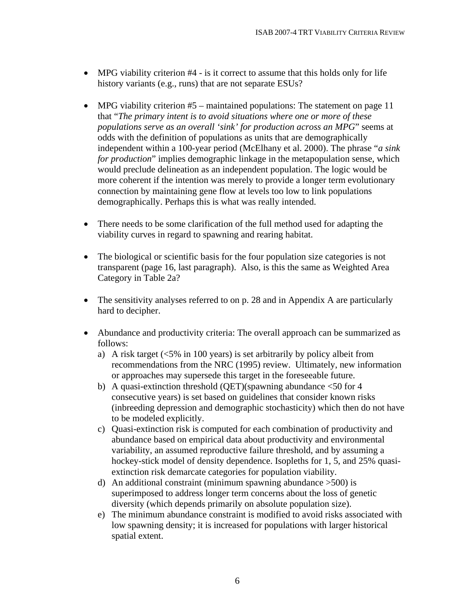- MPG viability criterion #4 is it correct to assume that this holds only for life history variants (e.g., runs) that are not separate ESUs?
- MPG viability criterion #5 maintained populations: The statement on page 11 that "*The primary intent is to avoid situations where one or more of these populations serve as an overall 'sink' for production across an MPG*" seems at odds with the definition of populations as units that are demographically independent within a 100-year period (McElhany et al. 2000). The phrase "*a sink for production*" implies demographic linkage in the metapopulation sense, which would preclude delineation as an independent population. The logic would be more coherent if the intention was merely to provide a longer term evolutionary connection by maintaining gene flow at levels too low to link populations demographically. Perhaps this is what was really intended.
- There needs to be some clarification of the full method used for adapting the viability curves in regard to spawning and rearing habitat.
- The biological or scientific basis for the four population size categories is not transparent (page 16, last paragraph). Also, is this the same as Weighted Area Category in Table 2a?
- The sensitivity analyses referred to on p. 28 and in Appendix A are particularly hard to decipher.
- Abundance and productivity criteria: The overall approach can be summarized as follows:
	- a) A risk target (<5% in 100 years) is set arbitrarily by policy albeit from recommendations from the NRC (1995) review. Ultimately, new information or approaches may supersede this target in the foreseeable future.
	- b) A quasi-extinction threshold (QET)(spawning abundance  $\leq 50$  for 4 consecutive years) is set based on guidelines that consider known risks (inbreeding depression and demographic stochasticity) which then do not have to be modeled explicitly.
	- c) Quasi-extinction risk is computed for each combination of productivity and abundance based on empirical data about productivity and environmental variability, an assumed reproductive failure threshold, and by assuming a hockey-stick model of density dependence. Isopleths for 1, 5, and 25% quasiextinction risk demarcate categories for population viability.
	- d) An additional constraint (minimum spawning abundance >500) is superimposed to address longer term concerns about the loss of genetic diversity (which depends primarily on absolute population size).
	- e) The minimum abundance constraint is modified to avoid risks associated with low spawning density; it is increased for populations with larger historical spatial extent.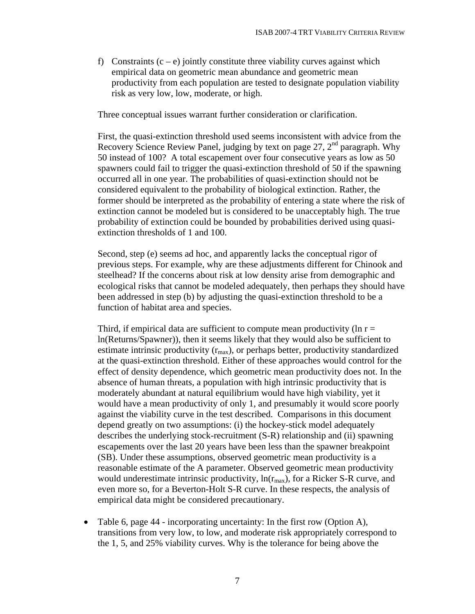f) Constraints  $(c - e)$  jointly constitute three viability curves against which empirical data on geometric mean abundance and geometric mean productivity from each population are tested to designate population viability risk as very low, low, moderate, or high.

Three conceptual issues warrant further consideration or clarification.

First, the quasi-extinction threshold used seems inconsistent with advice from the Recovery Science Review Panel, judging by text on page 27,  $2<sup>nd</sup>$  paragraph. Why 50 instead of 100? A total escapement over four consecutive years as low as 50 spawners could fail to trigger the quasi-extinction threshold of 50 if the spawning occurred all in one year. The probabilities of quasi-extinction should not be considered equivalent to the probability of biological extinction. Rather, the former should be interpreted as the probability of entering a state where the risk of extinction cannot be modeled but is considered to be unacceptably high. The true probability of extinction could be bounded by probabilities derived using quasiextinction thresholds of 1 and 100.

Second, step (e) seems ad hoc, and apparently lacks the conceptual rigor of previous steps. For example, why are these adjustments different for Chinook and steelhead? If the concerns about risk at low density arise from demographic and ecological risks that cannot be modeled adequately, then perhaps they should have been addressed in step (b) by adjusting the quasi-extinction threshold to be a function of habitat area and species.

Third, if empirical data are sufficient to compute mean productivity ( $\ln r =$ ln(Returns/Spawner)), then it seems likely that they would also be sufficient to estimate intrinsic productivity  $(r_{\text{max}})$ , or perhaps better, productivity standardized at the quasi-extinction threshold. Either of these approaches would control for the effect of density dependence, which geometric mean productivity does not. In the absence of human threats, a population with high intrinsic productivity that is moderately abundant at natural equilibrium would have high viability, yet it would have a mean productivity of only 1, and presumably it would score poorly against the viability curve in the test described. Comparisons in this document depend greatly on two assumptions: (i) the hockey-stick model adequately describes the underlying stock-recruitment (S-R) relationship and (ii) spawning escapements over the last 20 years have been less than the spawner breakpoint (SB). Under these assumptions, observed geometric mean productivity is a reasonable estimate of the A parameter. Observed geometric mean productivity would underestimate intrinsic productivity,  $ln(r_{max})$ , for a Ricker S-R curve, and even more so, for a Beverton-Holt S-R curve. In these respects, the analysis of empirical data might be considered precautionary.

• Table 6, page 44 - incorporating uncertainty: In the first row (Option A), transitions from very low, to low, and moderate risk appropriately correspond to the 1, 5, and 25% viability curves. Why is the tolerance for being above the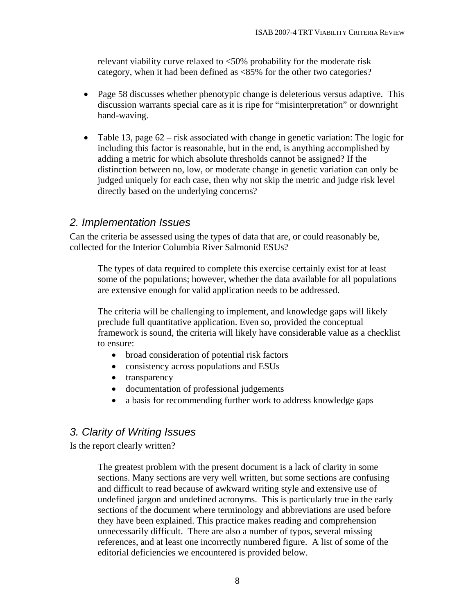<span id="page-9-0"></span>relevant viability curve relaxed to <50% probability for the moderate risk category, when it had been defined as <85% for the other two categories?

- Page 58 discusses whether phenotypic change is deleterious versus adaptive. This discussion warrants special care as it is ripe for "misinterpretation" or downright hand-waving.
- Table 13, page 62 risk associated with change in genetic variation: The logic for including this factor is reasonable, but in the end, is anything accomplished by adding a metric for which absolute thresholds cannot be assigned? If the distinction between no, low, or moderate change in genetic variation can only be judged uniquely for each case, then why not skip the metric and judge risk level directly based on the underlying concerns?

#### *2. Implementation Issues*

Can the criteria be assessed using the types of data that are, or could reasonably be, collected for the Interior Columbia River Salmonid ESUs?

The types of data required to complete this exercise certainly exist for at least some of the populations; however, whether the data available for all populations are extensive enough for valid application needs to be addressed.

The criteria will be challenging to implement, and knowledge gaps will likely preclude full quantitative application. Even so, provided the conceptual framework is sound, the criteria will likely have considerable value as a checklist to ensure:

- broad consideration of potential risk factors
- consistency across populations and ESUs
- transparency
- documentation of professional judgements
- a basis for recommending further work to address knowledge gaps

#### *3. Clarity of Writing Issues*

Is the report clearly written?

The greatest problem with the present document is a lack of clarity in some sections. Many sections are very well written, but some sections are confusing and difficult to read because of awkward writing style and extensive use of undefined jargon and undefined acronyms. This is particularly true in the early sections of the document where terminology and abbreviations are used before they have been explained. This practice makes reading and comprehension unnecessarily difficult. There are also a number of typos, several missing references, and at least one incorrectly numbered figure. A list of some of the editorial deficiencies we encountered is provided below.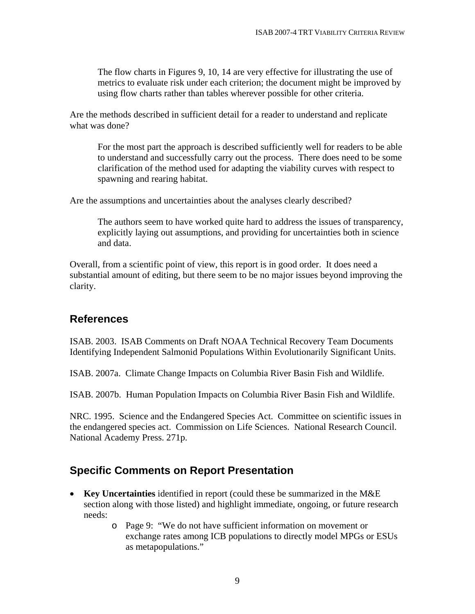<span id="page-10-0"></span>The flow charts in Figures 9, 10, 14 are very effective for illustrating the use of metrics to evaluate risk under each criterion; the document might be improved by using flow charts rather than tables wherever possible for other criteria.

Are the methods described in sufficient detail for a reader to understand and replicate what was done?

For the most part the approach is described sufficiently well for readers to be able to understand and successfully carry out the process. There does need to be some clarification of the method used for adapting the viability curves with respect to spawning and rearing habitat.

Are the assumptions and uncertainties about the analyses clearly described?

The authors seem to have worked quite hard to address the issues of transparency, explicitly laying out assumptions, and providing for uncertainties both in science and data.

Overall, from a scientific point of view, this report is in good order. It does need a substantial amount of editing, but there seem to be no major issues beyond improving the clarity.

#### **References**

ISAB. 2003. ISAB Comments on Draft NOAA Technical Recovery Team Documents Identifying Independent Salmonid Populations Within Evolutionarily Significant Units.

ISAB. 2007a. Climate Change Impacts on Columbia River Basin Fish and Wildlife.

ISAB. 2007b. Human Population Impacts on Columbia River Basin Fish and Wildlife.

NRC. 1995. Science and the Endangered Species Act. Committee on scientific issues in the endangered species act. Commission on Life Sciences. National Research Council. National Academy Press. 271p.

## **Specific Comments on Report Presentation**

- **Key Uncertainties** identified in report (could these be summarized in the M&E section along with those listed) and highlight immediate, ongoing, or future research needs:
	- o Page 9: "We do not have sufficient information on movement or exchange rates among ICB populations to directly model MPGs or ESUs as metapopulations."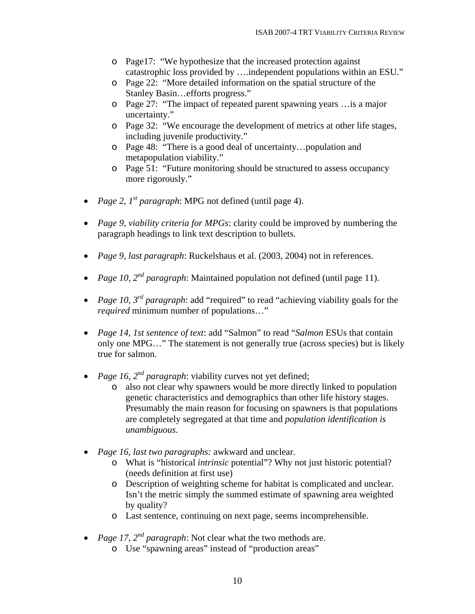- o Page17: "We hypothesize that the increased protection against catastrophic loss provided by ….independent populations within an ESU."
- o Page 22: "More detailed information on the spatial structure of the Stanley Basin…efforts progress."
- o Page 27: "The impact of repeated parent spawning years …is a major uncertainty."
- o Page 32: "We encourage the development of metrics at other life stages, including juvenile productivity."
- o Page 48: "There is a good deal of uncertainty…population and metapopulation viability."
- o Page 51: "Future monitoring should be structured to assess occupancy more rigorously."
- *Page 2, 1<sup>st</sup> paragraph*: MPG not defined (until page 4).
- *Page 9, viability criteria for MPGs*: clarity could be improved by numbering the paragraph headings to link text description to bullets.
- *Page 9, last paragraph*: Ruckelshaus et al. (2003, 2004) not in references.
- *Page 10, 2<sup>nd</sup> paragraph*: Maintained population not defined (until page 11).
- *Page 10, 3rd paragraph*: add "required" to read "achieving viability goals for the *required* minimum number of populations…"
- *Page 14, 1st sentence of text*: add "Salmon" to read "*Salmon* ESUs that contain only one MPG…" The statement is not generally true (across species) but is likely true for salmon.
- *Page 16, 2<sup>nd</sup> paragraph*: viability curves not yet defined;
	- o also not clear why spawners would be more directly linked to population genetic characteristics and demographics than other life history stages. Presumably the main reason for focusing on spawners is that populations are completely segregated at that time and *population identification is unambiguous.*
- *Page 16, last two paragraphs:* awkward and unclear.
	- o What is "historical *intrinsic* potential"? Why not just historic potential? (needs definition at first use)
	- o Description of weighting scheme for habitat is complicated and unclear. Isn't the metric simply the summed estimate of spawning area weighted by quality?
	- o Last sentence, continuing on next page, seems incomprehensible.
- *Page 17, 2nd paragraph*: Not clear what the two methods are.
	- o Use "spawning areas" instead of "production areas"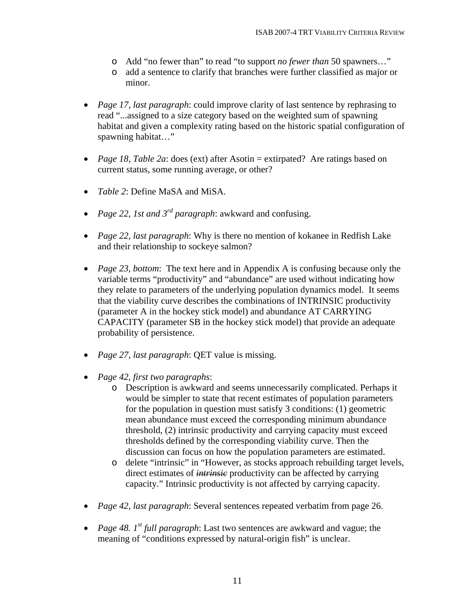- o Add "no fewer than" to read "to support *no fewer than* 50 spawners…"
- o add a sentence to clarify that branches were further classified as major or minor.
- *Page 17, last paragraph*: could improve clarity of last sentence by rephrasing to read "...assigned to a size category based on the weighted sum of spawning habitat and given a complexity rating based on the historic spatial configuration of spawning habitat…"
- *Page 18, Table 2a*: does (ext) after Asotin = extirpated? Are ratings based on current status, some running average, or other?
- *Table 2*: Define MaSA and MiSA.
- *Page 22, 1st and 3rd paragraph*: awkward and confusing.
- *Page 22, last paragraph*: Why is there no mention of kokanee in Redfish Lake and their relationship to sockeye salmon?
- *Page 23, bottom*: The text here and in Appendix A is confusing because only the variable terms "productivity" and "abundance" are used without indicating how they relate to parameters of the underlying population dynamics model. It seems that the viability curve describes the combinations of INTRINSIC productivity (parameter A in the hockey stick model) and abundance AT CARRYING CAPACITY (parameter SB in the hockey stick model) that provide an adequate probability of persistence.
- *Page 27, last paragraph*: QET value is missing.
- *Page 42, first two paragraphs*:
	- o Description is awkward and seems unnecessarily complicated. Perhaps it would be simpler to state that recent estimates of population parameters for the population in question must satisfy 3 conditions: (1) geometric mean abundance must exceed the corresponding minimum abundance threshold, (2) intrinsic productivity and carrying capacity must exceed thresholds defined by the corresponding viability curve. Then the discussion can focus on how the population parameters are estimated.
	- o delete "intrinsic" in "However, as stocks approach rebuilding target levels, direct estimates of *intrinsic* productivity can be affected by carrying capacity." Intrinsic productivity is not affected by carrying capacity.
- *Page 42, last paragraph*: Several sentences repeated verbatim from page 26.
- *Page 48. 1st full paragraph*: Last two sentences are awkward and vague; the meaning of "conditions expressed by natural-origin fish" is unclear.